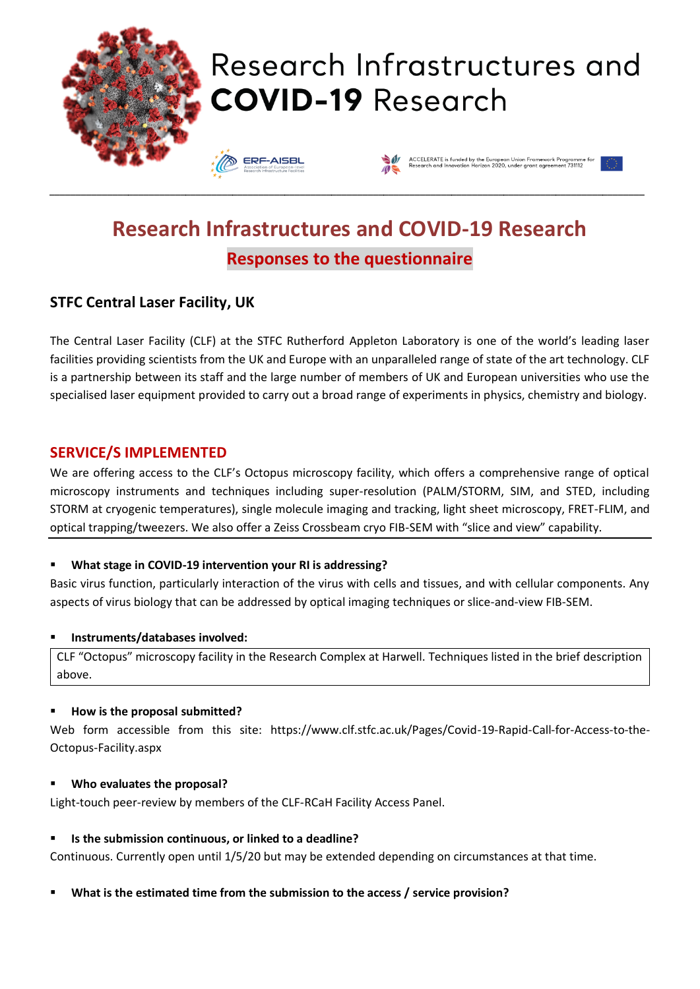

# **Research Infrastructures and COVID-19 Research Responses to the questionnaire**

# **STFC Central Laser Facility, UK**

The Central Laser Facility (CLF) at the STFC Rutherford Appleton Laboratory is one of the world's leading laser facilities providing scientists from the UK and Europe with an unparalleled range of state of the art technology. CLF is a partnership between its staff and the large number of members of UK and European universities who use the specialised laser equipment provided to carry out a broad range of experiments in physics, chemistry and biology.

### **SERVICE/S IMPLEMENTED**

We are offering access to the CLF's Octopus microscopy facility, which offers a comprehensive range of optical microscopy instruments and techniques including super-resolution (PALM/STORM, SIM, and STED, including STORM at cryogenic temperatures), single molecule imaging and tracking, light sheet microscopy, FRET-FLIM, and optical trapping/tweezers. We also offer a Zeiss Crossbeam cryo FIB-SEM with "slice and view" capability.

#### ▪ **What stage in COVID-19 intervention your RI is addressing?**

Basic virus function, particularly interaction of the virus with cells and tissues, and with cellular components. Any aspects of virus biology that can be addressed by optical imaging techniques or slice-and-view FIB-SEM.

#### ▪ **Instruments/databases involved:**

CLF "Octopus" microscopy facility in the Research Complex at Harwell. Techniques listed in the brief description above.

#### ▪ **How is the proposal submitted?**

Web form accessible from this site: https://www.clf.stfc.ac.uk/Pages/Covid-19-Rapid-Call-for-Access-to-the-Octopus-Facility.aspx

#### ▪ **Who evaluates the proposal?**

Light-touch peer-review by members of the CLF-RCaH Facility Access Panel.

#### ▪ **Is the submission continuous, or linked to a deadline?**

Continuous. Currently open until 1/5/20 but may be extended depending on circumstances at that time.

▪ **What is the estimated time from the submission to the access / service provision?**